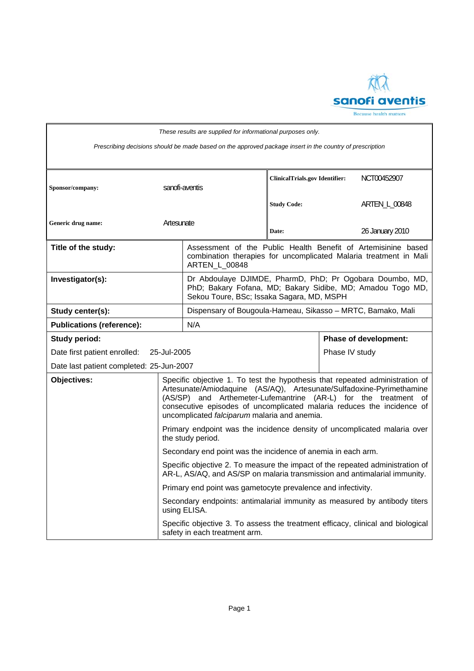

| These results are supplied for informational purposes only.                                              |                                                                                                                                                            |                                                                                                                                                                                                                                                                                                                                                   |                                       |                |                              |  |
|----------------------------------------------------------------------------------------------------------|------------------------------------------------------------------------------------------------------------------------------------------------------------|---------------------------------------------------------------------------------------------------------------------------------------------------------------------------------------------------------------------------------------------------------------------------------------------------------------------------------------------------|---------------------------------------|----------------|------------------------------|--|
| Prescribing decisions should be made based on the approved package insert in the country of prescription |                                                                                                                                                            |                                                                                                                                                                                                                                                                                                                                                   |                                       |                |                              |  |
| Sponsor/company:                                                                                         |                                                                                                                                                            | sanofi-aventis                                                                                                                                                                                                                                                                                                                                    | <b>ClinicalTrials.gov Identifier:</b> |                | NCT00452907                  |  |
|                                                                                                          |                                                                                                                                                            |                                                                                                                                                                                                                                                                                                                                                   | <b>Study Code:</b>                    |                | ARTEN_L_00848                |  |
| Generic drug name:                                                                                       | Artesunate                                                                                                                                                 |                                                                                                                                                                                                                                                                                                                                                   | Date:                                 |                | 26 January 2010              |  |
| Title of the study:                                                                                      |                                                                                                                                                            | Assessment of the Public Health Benefit of Artemisinine based<br>combination therapies for uncomplicated Malaria treatment in Mali<br><b>ARTEN L 00848</b>                                                                                                                                                                                        |                                       |                |                              |  |
| Investigator(s):                                                                                         |                                                                                                                                                            | Dr Abdoulaye DJIMDE, PharmD, PhD; Pr Ogobara Doumbo, MD,<br>PhD; Bakary Fofana, MD; Bakary Sidibe, MD; Amadou Togo MD,<br>Sekou Toure, BSc; Issaka Sagara, MD, MSPH                                                                                                                                                                               |                                       |                |                              |  |
| Study center(s):                                                                                         |                                                                                                                                                            | Dispensary of Bougoula-Hameau, Sikasso - MRTC, Bamako, Mali                                                                                                                                                                                                                                                                                       |                                       |                |                              |  |
| <b>Publications (reference):</b>                                                                         |                                                                                                                                                            | N/A                                                                                                                                                                                                                                                                                                                                               |                                       |                |                              |  |
| <b>Study period:</b>                                                                                     |                                                                                                                                                            |                                                                                                                                                                                                                                                                                                                                                   |                                       |                | <b>Phase of development:</b> |  |
| Date first patient enrolled:<br>25-Jul-2005                                                              |                                                                                                                                                            |                                                                                                                                                                                                                                                                                                                                                   |                                       | Phase IV study |                              |  |
| Date last patient completed: 25-Jun-2007                                                                 |                                                                                                                                                            |                                                                                                                                                                                                                                                                                                                                                   |                                       |                |                              |  |
| Objectives:                                                                                              |                                                                                                                                                            | Specific objective 1. To test the hypothesis that repeated administration of<br>Artesunate/Amiodaquine (AS/AQ), Artesunate/Sulfadoxine-Pyrimethamine<br>(AS/SP) and Arthemeter-Lufemantrine (AR-L) for the treatment of<br>consecutive episodes of uncomplicated malaria reduces the incidence of<br>uncomplicated falciparum malaria and anemia. |                                       |                |                              |  |
|                                                                                                          |                                                                                                                                                            | Primary endpoint was the incidence density of uncomplicated malaria over<br>the study period.                                                                                                                                                                                                                                                     |                                       |                |                              |  |
|                                                                                                          |                                                                                                                                                            | Secondary end point was the incidence of anemia in each arm.                                                                                                                                                                                                                                                                                      |                                       |                |                              |  |
|                                                                                                          | Specific objective 2. To measure the impact of the repeated administration of<br>AR-L, AS/AQ, and AS/SP on malaria transmission and antimalarial immunity. |                                                                                                                                                                                                                                                                                                                                                   |                                       |                |                              |  |
|                                                                                                          |                                                                                                                                                            | Primary end point was gametocyte prevalence and infectivity.                                                                                                                                                                                                                                                                                      |                                       |                |                              |  |
|                                                                                                          |                                                                                                                                                            | Secondary endpoints: antimalarial immunity as measured by antibody titers<br>using ELISA.                                                                                                                                                                                                                                                         |                                       |                |                              |  |
|                                                                                                          |                                                                                                                                                            | Specific objective 3. To assess the treatment efficacy, clinical and biological<br>safety in each treatment arm.                                                                                                                                                                                                                                  |                                       |                |                              |  |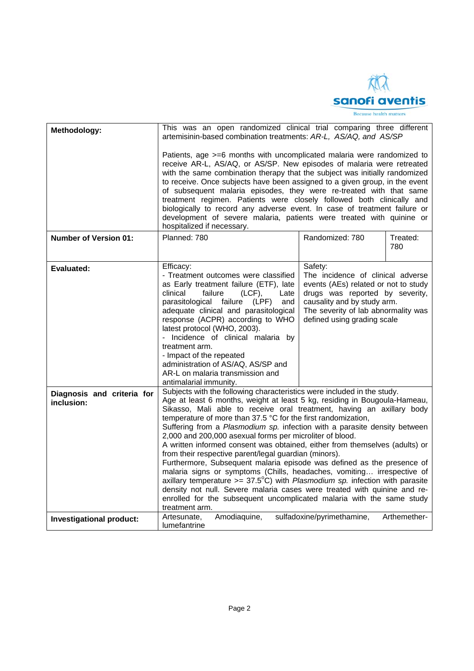

| Methodology:                             | This was an open randomized clinical trial comparing three different<br>artemisinin-based combination treatments: AR-L, AS/AQ, and AS/SP                                                                                                                                                                                                                                                                                                                                                                                                                                                                                                                                                                                                                                                                                                                                                                                                                                                                   |                                                                                                                                                                                                                              |                 |  |  |
|------------------------------------------|------------------------------------------------------------------------------------------------------------------------------------------------------------------------------------------------------------------------------------------------------------------------------------------------------------------------------------------------------------------------------------------------------------------------------------------------------------------------------------------------------------------------------------------------------------------------------------------------------------------------------------------------------------------------------------------------------------------------------------------------------------------------------------------------------------------------------------------------------------------------------------------------------------------------------------------------------------------------------------------------------------|------------------------------------------------------------------------------------------------------------------------------------------------------------------------------------------------------------------------------|-----------------|--|--|
|                                          | Patients, age >=6 months with uncomplicated malaria were randomized to<br>receive AR-L, AS/AQ, or AS/SP. New episodes of malaria were retreated<br>with the same combination therapy that the subject was initially randomized<br>to receive. Once subjects have been assigned to a given group, in the event<br>of subsequent malaria episodes, they were re-treated with that same<br>treatment regimen. Patients were closely followed both clinically and<br>biologically to record any adverse event. In case of treatment failure or<br>development of severe malaria, patients were treated with quinine or<br>hospitalized if necessary.                                                                                                                                                                                                                                                                                                                                                           |                                                                                                                                                                                                                              |                 |  |  |
| <b>Number of Version 01:</b>             | Planned: 780                                                                                                                                                                                                                                                                                                                                                                                                                                                                                                                                                                                                                                                                                                                                                                                                                                                                                                                                                                                               | Randomized: 780                                                                                                                                                                                                              | Treated:<br>780 |  |  |
| Evaluated:                               | Efficacy:<br>- Treatment outcomes were classified<br>as Early treatment failure (ETF), late<br>failure<br>$(LCF)$ ,<br>clinical<br>Late<br>parasitological<br>failure (LPF)<br>and<br>adequate clinical and parasitological<br>response (ACPR) according to WHO<br>latest protocol (WHO, 2003).<br>- Incidence of clinical malaria by<br>treatment arm.<br>- Impact of the repeated<br>administration of AS/AQ, AS/SP and<br>AR-L on malaria transmission and<br>antimalarial immunity.                                                                                                                                                                                                                                                                                                                                                                                                                                                                                                                    | Safety:<br>The incidence of clinical adverse<br>events (AEs) related or not to study<br>drugs was reported by severity,<br>causality and by study arm.<br>The severity of lab abnormality was<br>defined using grading scale |                 |  |  |
| Diagnosis and criteria for<br>inclusion: | Subjects with the following characteristics were included in the study.<br>Age at least 6 months, weight at least 5 kg, residing in Bougoula-Hameau,<br>Sikasso, Mali able to receive oral treatment, having an axillary body<br>temperature of more than 37.5 °C for the first randomization,<br>Suffering from a Plasmodium sp. infection with a parasite density between<br>2,000 and 200,000 asexual forms per microliter of blood.<br>A written informed consent was obtained, either from themselves (adults) or<br>from their respective parent/legal guardian (minors).<br>Furthermore, Subsequent malaria episode was defined as the presence of<br>malaria signs or symptoms (Chills, headaches, vomiting irrespective of<br>axillary temperature $>= 37.5^{\circ}C$ ) with <i>Plasmodium</i> sp. infection with parasite<br>density not null. Severe malaria cases were treated with quinine and re-<br>enrolled for the subsequent uncomplicated malaria with the same study<br>treatment arm. |                                                                                                                                                                                                                              |                 |  |  |
| Investigational product:                 | Artesunate.<br>Amodiaguine,<br>lumefantrine                                                                                                                                                                                                                                                                                                                                                                                                                                                                                                                                                                                                                                                                                                                                                                                                                                                                                                                                                                | sulfadoxine/pyrimethamine,                                                                                                                                                                                                   | Arthemether-    |  |  |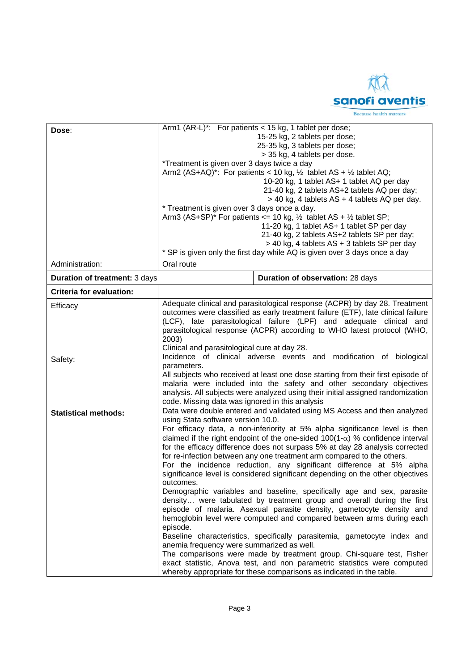

| Dose:                                | Arm1 (AR-L)*: For patients < 15 kg, 1 tablet per dose;<br>15-25 kg, 2 tablets per dose;<br>25-35 kg, 3 tablets per dose;<br>> 35 kg, 4 tablets per dose.<br>*Treatment is given over 3 days twice a day<br>Arm2 (AS+AQ)*: For patients < 10 kg, $\frac{1}{2}$ tablet AS + $\frac{1}{2}$ tablet AQ;<br>10-20 kg, 1 tablet AS+ 1 tablet AQ per day<br>21-40 kg, 2 tablets AS+2 tablets AQ per day; |                                                                                                                                                                                                                                                                                                                                                                                                                                                                                                                                                                                                                                                                                                                                                                                                                                                                                                                                                                                                                                                                                                                                                                                 |  |  |  |
|--------------------------------------|--------------------------------------------------------------------------------------------------------------------------------------------------------------------------------------------------------------------------------------------------------------------------------------------------------------------------------------------------------------------------------------------------|---------------------------------------------------------------------------------------------------------------------------------------------------------------------------------------------------------------------------------------------------------------------------------------------------------------------------------------------------------------------------------------------------------------------------------------------------------------------------------------------------------------------------------------------------------------------------------------------------------------------------------------------------------------------------------------------------------------------------------------------------------------------------------------------------------------------------------------------------------------------------------------------------------------------------------------------------------------------------------------------------------------------------------------------------------------------------------------------------------------------------------------------------------------------------------|--|--|--|
|                                      | > 40 kg, 4 tablets AS + 4 tablets AQ per day.<br>* Treatment is given over 3 days once a day.                                                                                                                                                                                                                                                                                                    |                                                                                                                                                                                                                                                                                                                                                                                                                                                                                                                                                                                                                                                                                                                                                                                                                                                                                                                                                                                                                                                                                                                                                                                 |  |  |  |
|                                      | Arm3 (AS+SP)* For patients <= 10 kg, $\frac{1}{2}$ tablet AS + $\frac{1}{2}$ tablet SP;<br>11-20 kg, 1 tablet AS+ 1 tablet SP per day<br>21-40 kg, 2 tablets AS+2 tablets SP per day;<br>> 40 kg, 4 tablets AS + 3 tablets SP per day                                                                                                                                                            |                                                                                                                                                                                                                                                                                                                                                                                                                                                                                                                                                                                                                                                                                                                                                                                                                                                                                                                                                                                                                                                                                                                                                                                 |  |  |  |
| Administration:                      | Oral route                                                                                                                                                                                                                                                                                                                                                                                       | * SP is given only the first day while AQ is given over 3 days once a day                                                                                                                                                                                                                                                                                                                                                                                                                                                                                                                                                                                                                                                                                                                                                                                                                                                                                                                                                                                                                                                                                                       |  |  |  |
|                                      |                                                                                                                                                                                                                                                                                                                                                                                                  |                                                                                                                                                                                                                                                                                                                                                                                                                                                                                                                                                                                                                                                                                                                                                                                                                                                                                                                                                                                                                                                                                                                                                                                 |  |  |  |
| <b>Duration of treatment: 3 days</b> |                                                                                                                                                                                                                                                                                                                                                                                                  | Duration of observation: 28 days                                                                                                                                                                                                                                                                                                                                                                                                                                                                                                                                                                                                                                                                                                                                                                                                                                                                                                                                                                                                                                                                                                                                                |  |  |  |
| <b>Criteria for evaluation:</b>      |                                                                                                                                                                                                                                                                                                                                                                                                  |                                                                                                                                                                                                                                                                                                                                                                                                                                                                                                                                                                                                                                                                                                                                                                                                                                                                                                                                                                                                                                                                                                                                                                                 |  |  |  |
| Efficacy                             | Adequate clinical and parasitological response (ACPR) by day 28. Treatment<br>outcomes were classified as early treatment failure (ETF), late clinical failure<br>(LCF), late parasitological failure (LPF) and adequate clinical and<br>parasitological response (ACPR) according to WHO latest protocol (WHO,<br>2003)<br>Clinical and parasitological cure at day 28.                         |                                                                                                                                                                                                                                                                                                                                                                                                                                                                                                                                                                                                                                                                                                                                                                                                                                                                                                                                                                                                                                                                                                                                                                                 |  |  |  |
| Safety:                              | Incidence of clinical adverse events and modification of biological<br>parameters.<br>All subjects who received at least one dose starting from their first episode of<br>malaria were included into the safety and other secondary objectives<br>analysis. All subjects were analyzed using their initial assigned randomization<br>code. Missing data was ignored in this analysis             |                                                                                                                                                                                                                                                                                                                                                                                                                                                                                                                                                                                                                                                                                                                                                                                                                                                                                                                                                                                                                                                                                                                                                                                 |  |  |  |
| <b>Statistical methods:</b>          | using Stata software version 10.0.<br>outcomes.<br>episode.<br>anemia frequency were summarized as well.                                                                                                                                                                                                                                                                                         | Data were double entered and validated using MS Access and then analyzed<br>For efficacy data, a non-inferiority at 5% alpha significance level is then<br>claimed if the right endpoint of the one-sided $100(1-\alpha)$ % confidence interval<br>for the efficacy difference does not surpass 5% at day 28 analysis corrected<br>for re-infection between any one treatment arm compared to the others.<br>For the incidence reduction, any significant difference at 5% alpha<br>significance level is considered significant depending on the other objectives<br>Demographic variables and baseline, specifically age and sex, parasite<br>density were tabulated by treatment group and overall during the first<br>episode of malaria. Asexual parasite density, gametocyte density and<br>hemoglobin level were computed and compared between arms during each<br>Baseline characteristics, specifically parasitemia, gametocyte index and<br>The comparisons were made by treatment group. Chi-square test, Fisher<br>exact statistic, Anova test, and non parametric statistics were computed<br>whereby appropriate for these comparisons as indicated in the table. |  |  |  |